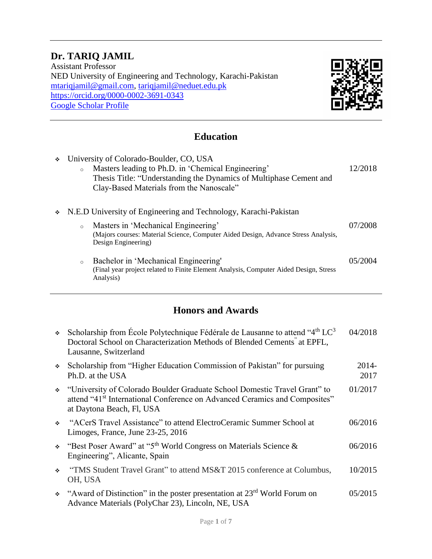### **Dr. TARIQ JAMIL**

Assistant Professor NED University of Engineering and Technology, Karachi-Pakistan [mtariqjamil@gmail.com,](mailto:mtariqjamil@gmail.com) tariqjamil@neduet.edu.pk <https://orcid.org/0000-0002-3691-0343> [Google Scholar Profile](https://scholar.google.com.pk/citations?user=b8nLI4gAAAAJ&hl=en&oi=ao)



#### **Education**

| ٠ | $\circ$ | University of Colorado-Boulder, CO, USA<br>Masters leading to Ph.D. in 'Chemical Engineering'<br>Thesis Title: "Understanding the Dynamics of Multiphase Cement and<br>Clay-Based Materials from the Nanoscale"      | 12/2018 |
|---|---------|----------------------------------------------------------------------------------------------------------------------------------------------------------------------------------------------------------------------|---------|
| ❖ | $\circ$ | N.E.D University of Engineering and Technology, Karachi-Pakistan<br>Masters in 'Mechanical Engineering'<br>(Majors courses: Material Science, Computer Aided Design, Advance Stress Analysis,<br>Design Engineering) | 07/2008 |
|   | $\circ$ | Bachelor in 'Mechanical Engineering'<br>(Final year project related to Finite Element Analysis, Computer Aided Design, Stress<br>Analysis)                                                                           | 05/2004 |

### **Honors and Awards**

| $\mathcal{L}_{\mathcal{P}}$ | Scholarship from École Polytechnique Fédérale de Lausanne to attend "4 <sup>th</sup> LC <sup>3</sup><br>Doctoral School on Characterization Methods of Blended Cements" at EPFL,<br>Lausanne, Switzerland | 04/2018       |
|-----------------------------|-----------------------------------------------------------------------------------------------------------------------------------------------------------------------------------------------------------|---------------|
| ÷.                          | Scholarship from "Higher Education Commission of Pakistan" for pursuing<br>Ph.D. at the USA                                                                                                               | 2014-<br>2017 |
|                             | • "University of Colorado Boulder Graduate School Domestic Travel Grant" to<br>attend "41 <sup>st</sup> International Conference on Advanced Ceramics and Composites"<br>at Daytona Beach, Fl, USA        | 01/2017       |
| $\mathcal{L}_{\mathcal{F}}$ | "ACerS Travel Assistance" to attend ElectroCeramic Summer School at<br>Limoges, France, June 23-25, 2016                                                                                                  | 06/2016       |
|                             | • "Best Poser Award" at "5 <sup>th</sup> World Congress on Materials Science &<br>Engineering", Alicante, Spain                                                                                           | 06/2016       |
| $\mathcal{L}_{\mathcal{F}}$ | "TMS Student Travel Grant" to attend MS&T 2015 conference at Columbus,<br>OH, USA                                                                                                                         | 10/2015       |
|                             | $\div$ "Award of Distinction" in the poster presentation at 23 <sup>rd</sup> World Forum on<br>Advance Materials (PolyChar 23), Lincoln, NE, USA                                                          | 05/2015       |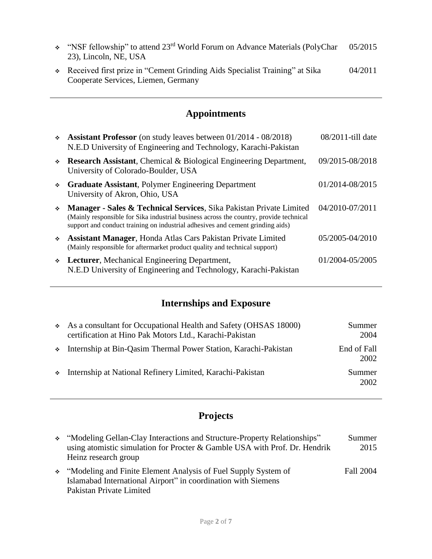| $\div$ "NSF fellowship" to attend 23 <sup>rd</sup> World Forum on Advance Materials (PolyChar<br>23), Lincoln, NE, USA | 05/2015 |
|------------------------------------------------------------------------------------------------------------------------|---------|
| • Received first prize in "Cement Grinding Aids Specialist Training" at Sika<br>Cooperate Services, Liemen, Germany    | 04/2011 |

## **Appointments**

| $\mathcal{L}_{\mathcal{F}}$ | <b>Assistant Professor</b> (on study leaves between 01/2014 - 08/2018)<br>N.E.D University of Engineering and Technology, Karachi-Pakistan                                                                                                      | 08/2011-till date |
|-----------------------------|-------------------------------------------------------------------------------------------------------------------------------------------------------------------------------------------------------------------------------------------------|-------------------|
| $\Phi_{\rm eff}$            | <b>Research Assistant, Chemical &amp; Biological Engineering Department,</b><br>University of Colorado-Boulder, USA                                                                                                                             | 09/2015-08/2018   |
| ÷.                          | <b>Graduate Assistant, Polymer Engineering Department</b><br>University of Akron, Ohio, USA                                                                                                                                                     | 01/2014-08/2015   |
| $\mathcal{L}_{\mathcal{C}}$ | Manager - Sales & Technical Services, Sika Pakistan Private Limited<br>(Mainly responsible for Sika industrial business across the country, provide technical<br>support and conduct training on industrial adhesives and cement grinding aids) | 04/2010-07/2011   |
| ÷.                          | <b>Assistant Manager, Honda Atlas Cars Pakistan Private Limited</b><br>(Mainly responsible for aftermarket product quality and technical support)                                                                                               | 05/2005-04/2010   |
| $\ddot{\bullet}$            | Lecturer, Mechanical Engineering Department,<br>N.E.D University of Engineering and Technology, Karachi-Pakistan                                                                                                                                | 01/2004-05/2005   |
|                             |                                                                                                                                                                                                                                                 |                   |

# **Internships and Exposure**

| As a consultant for Occupational Health and Safety (OHSAS 18000)<br>certification at Hino Pak Motors Ltd., Karachi-Pakistan | Summer<br>2004      |
|-----------------------------------------------------------------------------------------------------------------------------|---------------------|
| • Internship at Bin-Qasim Thermal Power Station, Karachi-Pakistan                                                           | End of Fall<br>2002 |
| • Internship at National Refinery Limited, Karachi-Pakistan                                                                 | Summer<br>2002      |

# **Projects**

| * "Modeling Gellan-Clay Interactions and Structure-Property Relationships"<br>using atomistic simulation for Procter & Gamble USA with Prof. Dr. Hendrik<br>Heinz research group | Summer<br>2015 |
|----------------------------------------------------------------------------------------------------------------------------------------------------------------------------------|----------------|
| • "Modeling and Finite Element Analysis of Fuel Supply System of<br>Islamabad International Airport" in coordination with Siemens                                                | Fall 2004      |
| Pakistan Private Limited                                                                                                                                                         |                |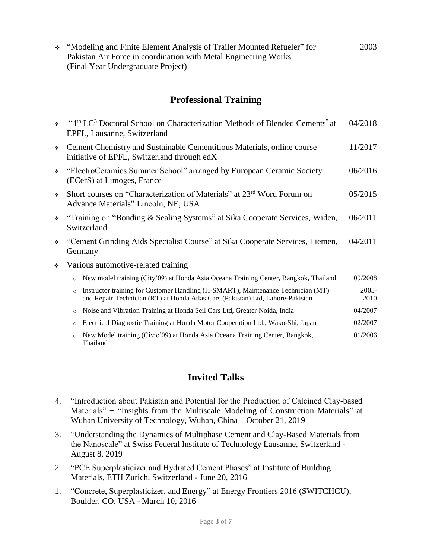"Modeling and Finite Element Analysis of Trailer Mounted Refueler" for Pakistan Air Force in coordination with Metal Engineering Works (Final Year Undergraduate Project) 2003

#### **Professional Training**

| ÷ | "4th LC <sup>3</sup> Doctoral School on Characterization Methods of Blended Cements" at<br>EPFL, Lausanne, Switzerland                                                        | 04/2018          |  |
|---|-------------------------------------------------------------------------------------------------------------------------------------------------------------------------------|------------------|--|
| ❖ | Cement Chemistry and Sustainable Cementitious Materials, online course<br>initiative of EPFL, Switzerland through edX                                                         | 11/2017          |  |
| ❖ | "ElectroCeramics Summer School" arranged by European Ceramic Society<br>(ECerS) at Limoges, France                                                                            | 06/2016          |  |
| ❖ | Short courses on "Characterization of Materials" at 23 <sup>rd</sup> Word Forum on<br>Advance Materials" Lincoln, NE, USA                                                     | 05/2015          |  |
| ❖ | "Training on "Bonding & Sealing Systems" at Sika Cooperate Services, Widen,<br>Switzerland                                                                                    | 06/2011          |  |
| ❖ | "Cement Grinding Aids Specialist Course" at Sika Cooperate Services, Liemen,<br>Germany                                                                                       | 04/2011          |  |
| ❖ | Various automotive-related training                                                                                                                                           |                  |  |
|   | New model training (City'09) at Honda Asia Oceana Training Center, Bangkok, Thailand<br>$\circ$                                                                               | 09/2008          |  |
|   | Instructor training for Customer Handling (H-SMART), Maintenance Technician (MT)<br>$\circ$<br>and Repair Technician (RT) at Honda Atlas Cars (Pakistan) Ltd, Lahore-Pakistan | $2005 -$<br>2010 |  |
|   | Noise and Vibration Training at Honda Seil Cars Ltd, Greater Noida, India<br>$\circ$                                                                                          | 04/2007          |  |
|   | Electrical Diagnostic Training at Honda Motor Cooperation Ltd., Wako-Shi, Japan<br>$\circ$                                                                                    | 02/2007          |  |
|   | New Model training (Civic'09) at Honda Asia Oceana Training Center, Bangkok,<br>$\circ$<br>Thailand                                                                           | 01/2006          |  |

#### **Invited Talks**

- 4. "Introduction about Pakistan and Potential for the Production of Calcined Clay-based Materials" + "Insights from the Multiscale Modeling of Construction Materials" at Wuhan University of Technology, Wuhan, China – October 21, 2019
- 3. "Understanding the Dynamics of Multiphase Cement and Clay-Based Materials from the Nanoscale" at Swiss Federal Institute of Technology Lausanne, Switzerland - August 8, 2019
- 2. "PCE Superplasticizer and Hydrated Cement Phases" at Institute of Building Materials, ETH Zurich, Switzerland - June 20, 2016
- 1. "Concrete, Superplasticizer, and Energy" at Energy Frontiers 2016 (SWITCHCU), Boulder, CO, USA - March 10, 2016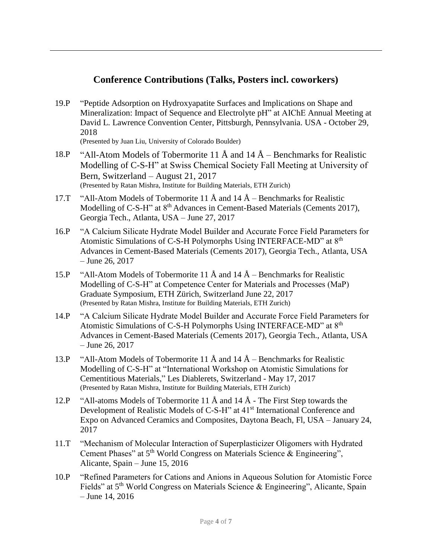#### **Conference Contributions (Talks, Posters incl. coworkers)**

19.P "Peptide Adsorption on Hydroxyapatite Surfaces and Implications on Shape and Mineralization: Impact of Sequence and Electrolyte pH" at AIChE Annual Meeting at David L. Lawrence Convention Center, Pittsburgh, Pennsylvania. USA - October 29, 2018

(Presented by Juan Liu, University of Colorado Boulder)

- 18.P "All-Atom Models of Tobermorite 11 Å and  $14 \text{ Å}$  Benchmarks for Realistic Modelling of C-S-H" at Swiss Chemical Society Fall Meeting at University of Bern, Switzerland – August 21, 2017 (Presented by Ratan Mishra, Institute for Building Materials, ETH Zurich)
- 17.T "All-Atom Models of Tobermorite 11  $\AA$  and 14  $\AA$  Benchmarks for Realistic Modelling of C-S-H" at 8<sup>th</sup> Advances in Cement-Based Materials (Cements 2017), Georgia Tech., Atlanta, USA – June 27, 2017
- 16.P "A Calcium Silicate Hydrate Model Builder and Accurate Force Field Parameters for Atomistic Simulations of C-S-H Polymorphs Using INTERFACE-MD" at 8th Advances in Cement-Based Materials (Cements 2017), Georgia Tech., Atlanta, USA – June 26, 2017
- 15.P "All-Atom Models of Tobermorite 11  $\AA$  and 14  $\AA$  Benchmarks for Realistic Modelling of C-S-H" at Competence Center for Materials and Processes (MaP) Graduate Symposium, ETH Zürich, Switzerland June 22, 2017 (Presented by Ratan Mishra, Institute for Building Materials, ETH Zurich)
- 14.P "A Calcium Silicate Hydrate Model Builder and Accurate Force Field Parameters for Atomistic Simulations of C-S-H Polymorphs Using INTERFACE-MD" at 8th Advances in Cement-Based Materials (Cements 2017), Georgia Tech., Atlanta, USA – June 26, 2017
- 13.P "All-Atom Models of Tobermorite 11  $\AA$  and 14  $\AA$  Benchmarks for Realistic Modelling of C-S-H" at "International Workshop on Atomistic Simulations for Cementitious Materials," Les Diablerets, Switzerland - May 17, 2017 (Presented by Ratan Mishra, Institute for Building Materials, ETH Zurich)
- 12.P "All-atoms Models of Tobermorite 11  $\AA$  and 14  $\AA$  The First Step towards the Development of Realistic Models of C-S-H" at 41<sup>st</sup> International Conference and Expo on Advanced Ceramics and Composites, Daytona Beach, Fl, USA – January 24, 2017
- 11.T "Mechanism of Molecular Interaction of Superplasticizer Oligomers with Hydrated Cement Phases" at 5<sup>th</sup> World Congress on Materials Science & Engineering", Alicante, Spain – June 15, 2016
- 10.P "Refined Parameters for Cations and Anions in Aqueous Solution for Atomistic Force Fields" at 5<sup>th</sup> World Congress on Materials Science & Engineering", Alicante, Spain – June 14, 2016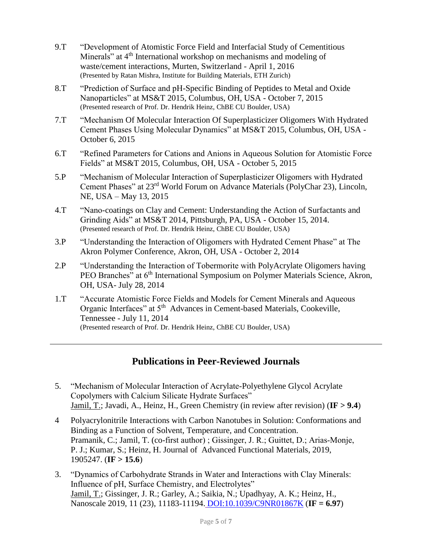- 9.T "Development of Atomistic Force Field and Interfacial Study of Cementitious Minerals" at 4<sup>th</sup> International workshop on mechanisms and modeling of waste/cement interactions, Murten, Switzerland - April 1, 2016 (Presented by Ratan Mishra, Institute for Building Materials, ETH Zurich)
- 8.T "Prediction of Surface and pH-Specific Binding of Peptides to Metal and Oxide Nanoparticles" at MS&T 2015, Columbus, OH, USA - October 7, 2015 (Presented research of Prof. Dr. Hendrik Heinz, ChBE CU Boulder, USA)
- 7.T "Mechanism Of Molecular Interaction Of Superplasticizer Oligomers With Hydrated Cement Phases Using Molecular Dynamics" at MS&T 2015, Columbus, OH, USA - October 6, 2015
- 6.T "Refined Parameters for Cations and Anions in Aqueous Solution for Atomistic Force Fields" at MS&T 2015, Columbus, OH, USA - October 5, 2015
- 5.P "Mechanism of Molecular Interaction of Superplasticizer Oligomers with Hydrated Cement Phases" at 23rd World Forum on Advance Materials (PolyChar 23), Lincoln, NE, USA – May 13, 2015
- 4.T "Nano-coatings on Clay and Cement: Understanding the Action of Surfactants and Grinding Aids" at MS&T 2014, Pittsburgh, PA, USA - October 15, 2014. (Presented research of Prof. Dr. Hendrik Heinz, ChBE CU Boulder, USA)
- 3.P "Understanding the Interaction of Oligomers with Hydrated Cement Phase" at The Akron Polymer Conference, Akron, OH, USA - October 2, 2014
- 2.P "Understanding the Interaction of Tobermorite with PolyAcrylate Oligomers having PEO Branches" at 6<sup>th</sup> International Symposium on Polymer Materials Science, Akron, OH, USA- July 28, 2014
- 1.T "Accurate Atomistic Force Fields and Models for Cement Minerals and Aqueous Organic Interfaces" at 5<sup>th</sup> Advances in Cement-based Materials, Cookeville, Tennessee - July 11, 2014 (Presented research of Prof. Dr. Hendrik Heinz, ChBE CU Boulder, USA)

#### **Publications in Peer-Reviewed Journals**

- 5. "Mechanism of Molecular Interaction of Acrylate-Polyethylene Glycol Acrylate Copolymers with Calcium Silicate Hydrate Surfaces" Jamil, T.; Javadi, A., Heinz, H., Green Chemistry (in review after revision) (**IF > 9.4**)
- 4 Polyacrylonitrile Interactions with Carbon Nanotubes in Solution: Conformations and Binding as a Function of Solvent, Temperature, and Concentration. Pramanik, C.; Jamil, T. (co-first author) ; Gissinger, J. R.; Guittet, D.; Arias‐Monje, P. J.; Kumar, S.; Heinz, H. Journal of Advanced Functional Materials, 2019, 1905247. (**IF > 15.6**)
- 3. "Dynamics of Carbohydrate Strands in Water and Interactions with Clay Minerals: Influence of pH, Surface Chemistry, and Electrolytes" Jamil, T.; Gissinger, J. R.; Garley, A.; Saikia, N.; Upadhyay, A. K.; Heinz, H., Nanoscale 2019, 11 (23), 11183-11194. [DOI:10.1039/C9NR01867K](https://pubs.rsc.org/en/content/articlelanding/2019/nr/c9nr01867k#!divAbstract) (**IF = 6.97**)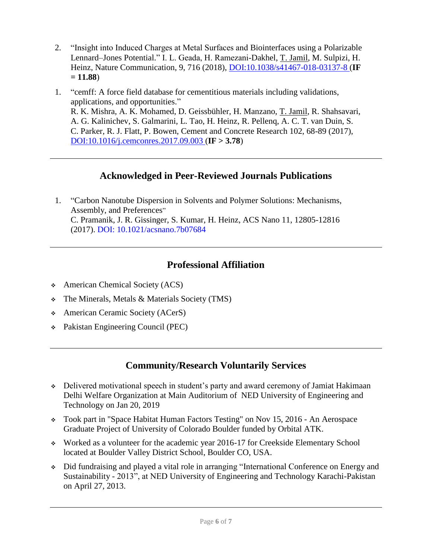- 2. "Insight into Induced Charges at Metal Surfaces and Biointerfaces using a Polarizable Lennard–Jones Potential." I. L. Geada, H. Ramezani-Dakhel, T. Jamil, M. Sulpizi, H. Heinz, Nature Communication, 9, 716 (2018), [DOI:10.1038/s41467-018-03137-8](https://www.nature.com/articles/s41467-018-03137-8) (**IF = 11.88**)
- 1. "cemff: A force field database for cementitious materials including validations, applications, and opportunities." R. K. Mishra, A. K. Mohamed, D. Geissbühler, H. Manzano, T. Jamil, R. Shahsavari, A. G. Kalinichev, S. Galmarini, L. Tao, H. Heinz, R. Pellenq, A. C. T. van Duin, S. C. Parker, R. J. Flatt, P. Bowen, Cement and Concrete Research 102, 68-89 (2017), [DOI:10.1016/j.cemconres.2017.09.003](https://www.sciencedirect.com/science/article/pii/S000888461730409X) (**IF > 3.78**)

#### **Acknowledged in Peer-Reviewed Journals Publications**

1. "Carbon Nanotube Dispersion in Solvents and Polymer Solutions: Mechanisms, Assembly, and Preferences" C. Pramanik, J. R. Gissinger, S. Kumar, H. Heinz, ACS Nano 11, 12805-12816 (2017). [DOI: 10.1021/acsnano.7b07684](https://pubs.acs.org/doi/abs/10.1021/acsnano.7b07684)

#### **Professional Affiliation**

- American Chemical Society (ACS)
- The Minerals, Metals & Materials Society (TMS)
- American Ceramic Society (ACerS)
- Pakistan Engineering Council (PEC)

#### **Community/Research Voluntarily Services**

- Delivered motivational speech in student's party and award ceremony of Jamiat Hakimaan Delhi Welfare Organization at Main Auditorium of NED University of Engineering and Technology on Jan 20, 2019
- Took part in "Space Habitat Human Factors Testing" on Nov 15, 2016 An Aerospace Graduate Project of University of Colorado Boulder funded by Orbital ATK.
- Worked as a volunteer for the academic year 2016-17 for Creekside Elementary School located at Boulder Valley District School, Boulder CO, USA.
- Did fundraising and played a vital role in arranging "International Conference on Energy and Sustainability - 2013", at NED University of Engineering and Technology Karachi-Pakistan on April 27, 2013.